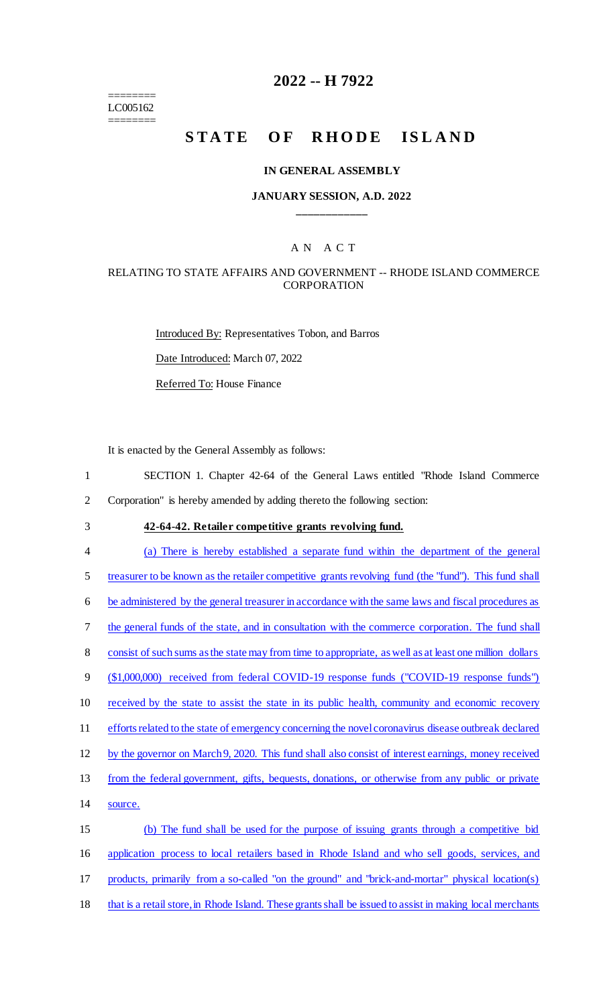======== LC005162 ========

# **2022 -- H 7922**

# STATE OF RHODE ISLAND

#### **IN GENERAL ASSEMBLY**

#### **JANUARY SESSION, A.D. 2022 \_\_\_\_\_\_\_\_\_\_\_\_**

### A N A C T

#### RELATING TO STATE AFFAIRS AND GOVERNMENT -- RHODE ISLAND COMMERCE CORPORATION

Introduced By: Representatives Tobon, and Barros Date Introduced: March 07, 2022 Referred To: House Finance

It is enacted by the General Assembly as follows:

1 SECTION 1. Chapter 42-64 of the General Laws entitled "Rhode Island Commerce

2 Corporation" is hereby amended by adding thereto the following section:

3 **42-64-42. Retailer competitive grants revolving fund.**

4 (a) There is hereby established a separate fund within the department of the general

5 treasurer to be known as the retailer competitive grants revolving fund (the "fund"). This fund shall

6 be administered by the general treasurer in accordance with the same laws and fiscal procedures as

7 the general funds of the state, and in consultation with the commerce corporation. The fund shall

8 consist of such sums as the state may from time to appropriate, as well as at least one million dollars

9 (\$1,000,000) received from federal COVID-19 response funds ("COVID-19 response funds")

10 received by the state to assist the state in its public health, community and economic recovery

11 efforts related to the state of emergency concerning the novel coronavirus disease outbreak declared

12 by the governor on March 9, 2020. This fund shall also consist of interest earnings, money received

13 from the federal government, gifts, bequests, donations, or otherwise from any public or private

14 source.

15 (b) The fund shall be used for the purpose of issuing grants through a competitive bid 16 application process to local retailers based in Rhode Island and who sell goods, services, and 17 products, primarily from a so-called "on the ground" and "brick-and-mortar" physical location(s)

18 that is a retail store, in Rhode Island. These grants shall be issued to assist in making local merchants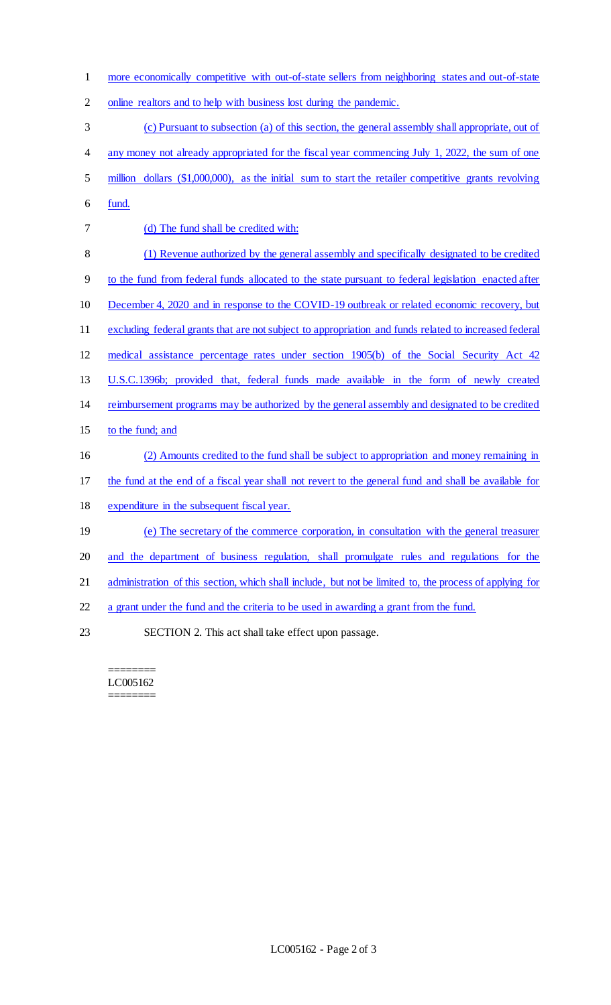more economically competitive with out-of-state sellers from neighboring states and out-of-state

online realtors and to help with business lost during the pandemic.

(c) Pursuant to subsection (a) of this section, the general assembly shall appropriate, out of

- 4 any money not already appropriated for the fiscal year commencing July 1, 2022, the sum of one
- million dollars (\$1,000,000), as the initial sum to start the retailer competitive grants revolving
- fund.
- (d) The fund shall be credited with:
- (1) Revenue authorized by the general assembly and specifically designated to be credited
- to the fund from federal funds allocated to the state pursuant to federal legislation enacted after
- December 4, 2020 and in response to the COVID-19 outbreak or related economic recovery, but
- 11 excluding federal grants that are not subject to appropriation and funds related to increased federal
- medical assistance percentage rates under section 1905(b) of the Social Security Act 42
- U.S.C.1396b; provided that, federal funds made available in the form of newly created
- reimbursement programs may be authorized by the general assembly and designated to be credited
- 15 to the fund; and
- (2) Amounts credited to the fund shall be subject to appropriation and money remaining in
- the fund at the end of a fiscal year shall not revert to the general fund and shall be available for
- expenditure in the subsequent fiscal year.
- (e) The secretary of the commerce corporation, in consultation with the general treasurer
- and the department of business regulation, shall promulgate rules and regulations for the
- administration of this section, which shall include, but not be limited to, the process of applying for
- a grant under the fund and the criteria to be used in awarding a grant from the fund.
- SECTION 2. This act shall take effect upon passage.

#### ======== LC005162 ========